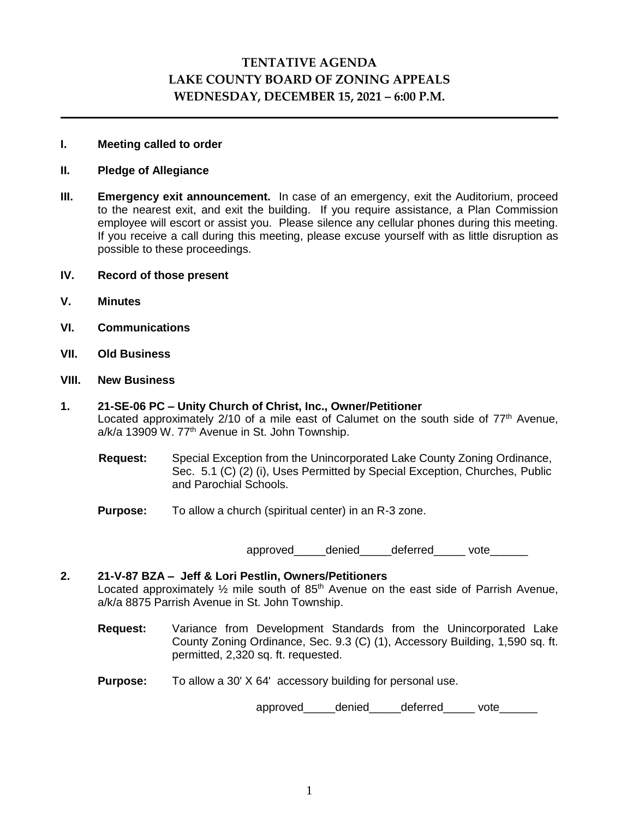# **TENTATIVE AGENDA LAKE COUNTY BOARD OF ZONING APPEALS WEDNESDAY, DECEMBER 15, 2021 – 6:00 P.M.**

#### **I. Meeting called to order**

#### **II. Pledge of Allegiance**

**III. Emergency exit announcement.** In case of an emergency, exit the Auditorium, proceed to the nearest exit, and exit the building. If you require assistance, a Plan Commission employee will escort or assist you. Please silence any cellular phones during this meeting. If you receive a call during this meeting, please excuse yourself with as little disruption as possible to these proceedings.

#### **IV. Record of those present**

- **V. Minutes**
- **VI. Communications**
- **VII. Old Business**

#### **VIII. New Business**

## **1. 21-SE-06 PC – Unity Church of Christ, Inc., Owner/Petitioner** Located approximately  $2/10$  of a mile east of Calumet on the south side of  $77<sup>th</sup>$  Avenue, a/k/a 13909 W. 77<sup>th</sup> Avenue in St. John Township.

- **Request:** Special Exception from the Unincorporated Lake County Zoning Ordinance, Sec. 5.1 (C) (2) (i), Uses Permitted by Special Exception, Churches, Public and Parochial Schools.
- **Purpose:** To allow a church (spiritual center) in an R-3 zone.

approved\_\_\_\_\_denied\_\_\_\_\_deferred\_\_\_\_\_ vote\_\_\_\_\_\_

## **2. 21-V-87 BZA – Jeff & Lori Pestlin, Owners/Petitioners** Located approximately  $\frac{1}{2}$  mile south of 85<sup>th</sup> Avenue on the east side of Parrish Avenue, a/k/a 8875 Parrish Avenue in St. John Township.

- **Request:** Variance from Development Standards from the Unincorporated Lake County Zoning Ordinance, Sec. 9.3 (C) (1), Accessory Building, 1,590 sq. ft. permitted, 2,320 sq. ft. requested.
- **Purpose:** To allow a 30' X 64' accessory building for personal use.

approved\_\_\_\_\_denied\_\_\_\_\_deferred\_\_\_\_\_vote\_\_\_\_\_\_